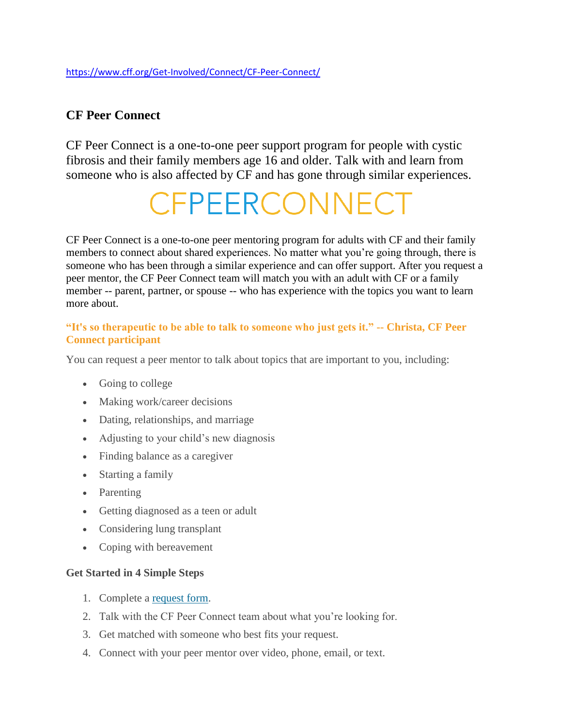## **CF Peer Connect**

CF Peer Connect is a one-to-one peer support program for people with cystic fibrosis and their family members age 16 and older. Talk with and learn from someone who is also affected by CF and has gone through similar experiences.

# CFPEERCONNECT

CF Peer Connect is a one-to-one peer mentoring program for adults with CF and their family members to connect about shared experiences. No matter what you're going through, there is someone who has been through a similar experience and can offer support. After you request a peer mentor, the CF Peer Connect team will match you with an adult with CF or a family member -- parent, partner, or spouse -- who has experience with the topics you want to learn more about.

#### **"It's so therapeutic to be able to talk to someone who just gets it." -- Christa, CF Peer Connect participant**

You can request a peer mentor to talk about topics that are important to you, including:

- Going to college
- Making work/career decisions
- Dating, relationships, and marriage
- Adjusting to your child's new diagnosis
- Finding balance as a caregiver
- Starting a family
- Parenting
- Getting diagnosed as a teen or adult
- Considering lung transplant
- Coping with bereavement

#### **Get Started in 4 Simple Steps**

- 1. Complete a [request form.](https://cfpeerconnect.com/about)
- 2. Talk with the CF Peer Connect team about what you're looking for.
- 3. Get matched with someone who best fits your request.
- 4. Connect with your peer mentor over video, phone, email, or text.